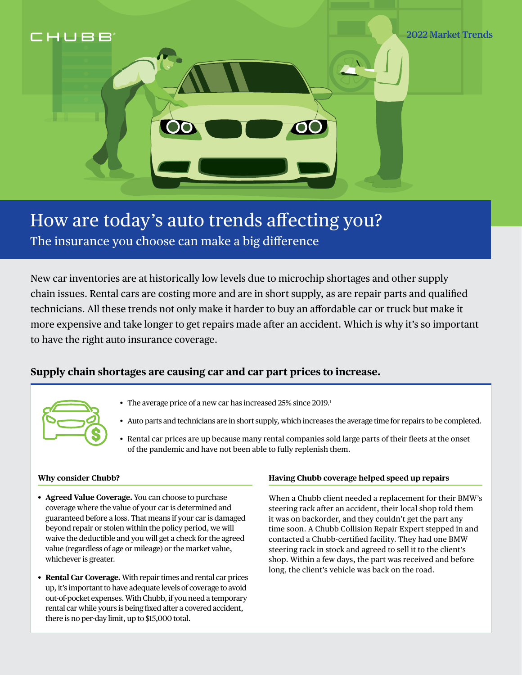

# How are today's auto trends affecting you?

The insurance you choose can make a big difference

New car inventories are at historically low levels due to microchip shortages and other supply chain issues. Rental cars are costing more and are in short supply, as are repair parts and qualified technicians. All these trends not only make it harder to buy an affordable car or truck but make it more expensive and take longer to get repairs made after an accident. Which is why it's so important to have the right auto insurance coverage.

### **Supply chain shortages are causing car and car part prices to increase.**



- The average price of a new car has increased 25% since 2019.<sup>1</sup>
- Auto parts and technicians are in short supply, which increases the average time for repairs to be completed.
- Rental car prices are up because many rental companies sold large parts of their fleets at the onset of the pandemic and have not been able to fully replenish them.

#### **Why consider Chubb?**

- **Agreed Value Coverage.** You can choose to purchase coverage where the value of your car is determined and guaranteed before a loss. That means if your car is damaged beyond repair or stolen within the policy period, we will waive the deductible and you will get a check for the agreed value (regardless of age or mileage) or the market value, whichever is greater.
- **Rental Car Coverage.** With repair times and rental car prices up, it's important to have adequate levels of coverage to avoid out-of-pocket expenses. With Chubb, if you need a temporary rental car while yours is being fixed after a covered accident, there is no per-day limit, up to \$15,000 total.

#### **Having Chubb coverage helped speed up repairs**

When a Chubb client needed a replacement for their BMW's steering rack after an accident, their local shop told them it was on backorder, and they couldn't get the part any time soon. A Chubb Collision Repair Expert stepped in and contacted a Chubb-certified facility. They had one BMW steering rack in stock and agreed to sell it to the client's shop. Within a few days, the part was received and before long, the client's vehicle was back on the road.